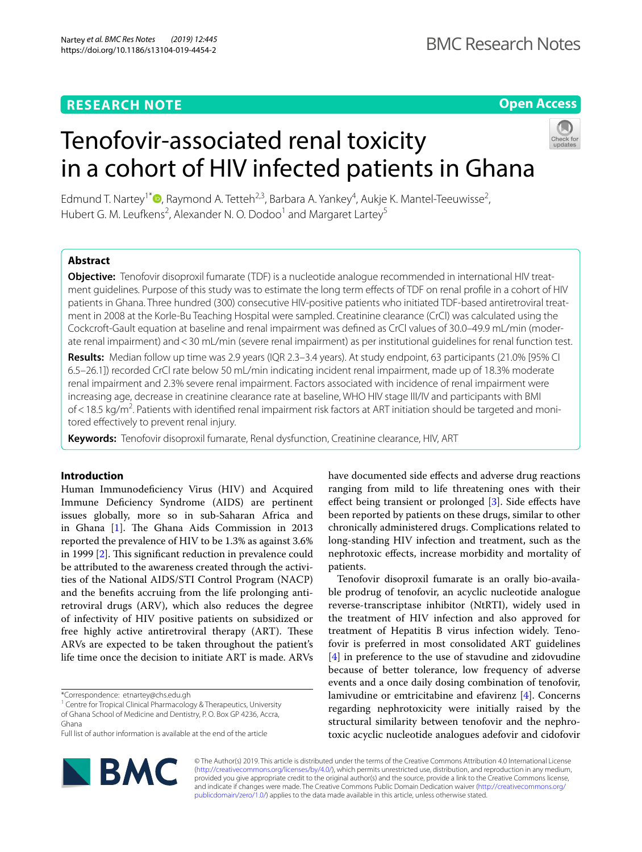## **RESEARCH NOTE**

## **Open Access**

# Tenofovir-associated renal toxicity in a cohort of HIV infected patients in Ghana



Edmund T. Nartey<sup>1\*</sup><sup>®</sup>[,](http://orcid.org/0000-0002-3355-4507) Raymond A. Tetteh<sup>2,3</sup>, Barbara A. Yankey<sup>4</sup>, Aukje K. Mantel-Teeuwisse<sup>2</sup>, Hubert G. M. Leufkens<sup>2</sup>, Alexander N. O. Dodoo<sup>1</sup> and Margaret Lartey<sup>5</sup>

## **Abstract**

**Objective:** Tenofovir disoproxil fumarate (TDF) is a nucleotide analogue recommended in international HIV treat‑ ment guidelines. Purpose of this study was to estimate the long term efects of TDF on renal profle in a cohort of HIV patients in Ghana. Three hundred (300) consecutive HIV-positive patients who initiated TDF-based antiretroviral treatment in 2008 at the Korle-Bu Teaching Hospital were sampled. Creatinine clearance (CrCl) was calculated using the Cockcroft-Gault equation at baseline and renal impairment was defned as CrCl values of 30.0–49.9 mL/min (moder‑ ate renal impairment) and <30 mL/min (severe renal impairment) as per institutional quidelines for renal function test.

**Results:** Median follow up time was 2.9 years (IQR 2.3–3.4 years). At study endpoint, 63 participants (21.0% [95% CI 6.5–26.1]) recorded CrCl rate below 50 mL/min indicating incident renal impairment, made up of 18.3% moderate renal impairment and 2.3% severe renal impairment. Factors associated with incidence of renal impairment were increasing age, decrease in creatinine clearance rate at baseline, WHO HIV stage III/IV and participants with BMI of<18.5 kg/m<sup>2</sup>. Patients with identified renal impairment risk factors at ART initiation should be targeted and monitored efectively to prevent renal injury.

**Keywords:** Tenofovir disoproxil fumarate, Renal dysfunction, Creatinine clearance, HIV, ART

## **Introduction**

Human Immunodefciency Virus (HIV) and Acquired Immune Defciency Syndrome (AIDS) are pertinent issues globally, more so in sub-Saharan Africa and in Ghana [\[1\]](#page-5-0). The Ghana Aids Commission in 2013 reported the prevalence of HIV to be 1.3% as against 3.6% in 1999  $[2]$  $[2]$ . This significant reduction in prevalence could be attributed to the awareness created through the activities of the National AIDS/STI Control Program (NACP) and the benefts accruing from the life prolonging antiretroviral drugs (ARV), which also reduces the degree of infectivity of HIV positive patients on subsidized or free highly active antiretroviral therapy (ART). These ARVs are expected to be taken throughout the patient's life time once the decision to initiate ART is made. ARVs

\*Correspondence: etnartey@chs.edu.gh

<sup>1</sup> Centre for Tropical Clinical Pharmacology & Therapeutics, University of Ghana School of Medicine and Dentistry, P. O. Box GP 4236, Accra, Ghana

Full list of author information is available at the end of the article



Tenofovir disoproxil fumarate is an orally bio-available prodrug of tenofovir, an acyclic nucleotide analogue reverse-transcriptase inhibitor (NtRTI), widely used in the treatment of HIV infection and also approved for treatment of Hepatitis B virus infection widely. Tenofovir is preferred in most consolidated ART guidelines [[4\]](#page-5-3) in preference to the use of stavudine and zidovudine because of better tolerance, low frequency of adverse events and a once daily dosing combination of tenofovir, lamivudine or emtricitabine and efavirenz [[4\]](#page-5-3). Concerns regarding nephrotoxicity were initially raised by the structural similarity between tenofovir and the nephrotoxic acyclic nucleotide analogues adefovir and cidofovir



© The Author(s) 2019. This article is distributed under the terms of the Creative Commons Attribution 4.0 International License [\(http://creativecommons.org/licenses/by/4.0/\)](http://creativecommons.org/licenses/by/4.0/), which permits unrestricted use, distribution, and reproduction in any medium, provided you give appropriate credit to the original author(s) and the source, provide a link to the Creative Commons license, and indicate if changes were made. The Creative Commons Public Domain Dedication waiver ([http://creativecommons.org/](http://creativecommons.org/publicdomain/zero/1.0/) [publicdomain/zero/1.0/](http://creativecommons.org/publicdomain/zero/1.0/)) applies to the data made available in this article, unless otherwise stated.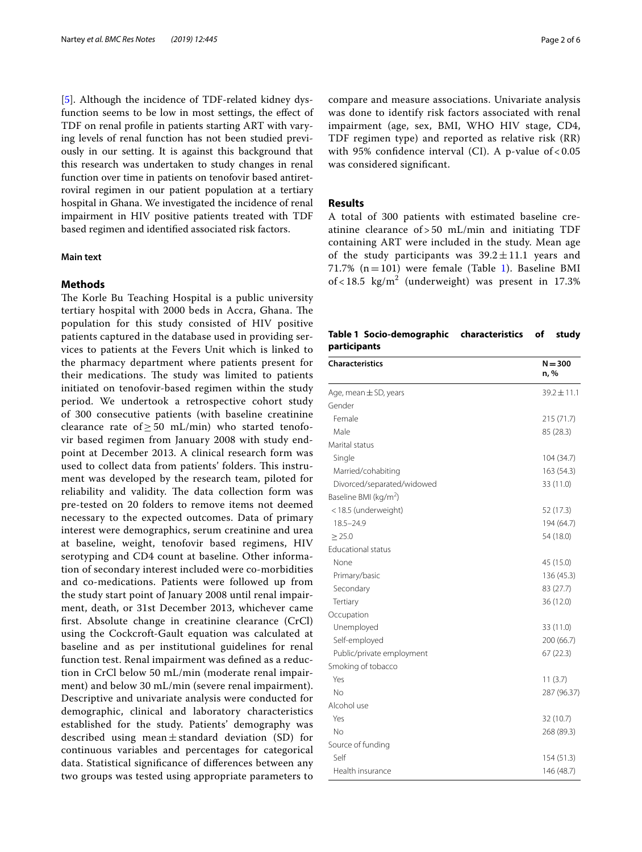[[5\]](#page-5-4). Although the incidence of TDF-related kidney dysfunction seems to be low in most settings, the efect of TDF on renal profle in patients starting ART with varying levels of renal function has not been studied previously in our setting. It is against this background that this research was undertaken to study changes in renal function over time in patients on tenofovir based antiretroviral regimen in our patient population at a tertiary hospital in Ghana. We investigated the incidence of renal impairment in HIV positive patients treated with TDF based regimen and identifed associated risk factors.

## **Main text**

## **Methods**

The Korle Bu Teaching Hospital is a public university tertiary hospital with 2000 beds in Accra, Ghana. The population for this study consisted of HIV positive patients captured in the database used in providing services to patients at the Fevers Unit which is linked to the pharmacy department where patients present for their medications. The study was limited to patients initiated on tenofovir-based regimen within the study period. We undertook a retrospective cohort study of 300 consecutive patients (with baseline creatinine clearance rate of  $\geq$  50 mL/min) who started tenofovir based regimen from January 2008 with study endpoint at December 2013. A clinical research form was used to collect data from patients' folders. This instrument was developed by the research team, piloted for reliability and validity. The data collection form was pre-tested on 20 folders to remove items not deemed necessary to the expected outcomes. Data of primary interest were demographics, serum creatinine and urea at baseline, weight, tenofovir based regimens, HIV serotyping and CD4 count at baseline. Other information of secondary interest included were co-morbidities and co-medications. Patients were followed up from the study start point of January 2008 until renal impairment, death, or 31st December 2013, whichever came frst. Absolute change in creatinine clearance (CrCl) using the Cockcroft-Gault equation was calculated at baseline and as per institutional guidelines for renal function test. Renal impairment was defned as a reduction in CrCl below 50 mL/min (moderate renal impairment) and below 30 mL/min (severe renal impairment). Descriptive and univariate analysis were conducted for demographic, clinical and laboratory characteristics established for the study. Patients' demography was described using mean $\pm$ standard deviation (SD) for continuous variables and percentages for categorical data. Statistical signifcance of diferences between any two groups was tested using appropriate parameters to compare and measure associations. Univariate analysis was done to identify risk factors associated with renal impairment (age, sex, BMI, WHO HIV stage, CD4, TDF regimen type) and reported as relative risk (RR) with 95% confdence interval (CI). A p-value of < 0.05 was considered signifcant.

### **Results**

A total of 300 patients with estimated baseline creatinine clearance of > 50 mL/min and initiating TDF containing ART were included in the study. Mean age of the study participants was  $39.2 \pm 11.1$  years and 71.7% ( $n=101$ ) were female (Table [1\)](#page-1-0). Baseline BMI of < 18.5  $\text{kg/m}^2$  (underweight) was present in 17.3%

<span id="page-1-0"></span>

|              | Table 1 Socio-demographic characteristics of study |  |  |
|--------------|----------------------------------------------------|--|--|
| participants |                                                    |  |  |

| <b>Characteristics</b>            | $N = 300$<br>n, % |
|-----------------------------------|-------------------|
| Age, mean $\pm$ SD, years         | $39.2 \pm 11.1$   |
| Gender                            |                   |
| Female                            | 215 (71.7)        |
| Male                              | 85 (28.3)         |
| Marital status                    |                   |
| Single                            | 104 (34.7)        |
| Married/cohabiting                | 163 (54.3)        |
| Divorced/separated/widowed        | 33 (11.0)         |
| Baseline BMI (kg/m <sup>2</sup> ) |                   |
| <18.5 (underweight)               | 52 (17.3)         |
| $18.5 - 24.9$                     | 194 (64.7)        |
| $\geq$ 25.0                       | 54 (18.0)         |
| <b>Educational status</b>         |                   |
| None                              | 45 (15.0)         |
| Primary/basic                     | 136 (45.3)        |
| Secondary                         | 83 (27.7)         |
| Tertiary                          | 36 (12.0)         |
| Occupation                        |                   |
| Unemployed                        | 33 (11.0)         |
| Self-employed                     | 200 (66.7)        |
| Public/private employment         | 67 (22.3)         |
| Smoking of tobacco                |                   |
| Yes                               | 11(3.7)           |
| No                                | 287 (96.37)       |
| Alcohol use                       |                   |
| Yes                               | 32 (10.7)         |
| No                                | 268 (89.3)        |
| Source of funding                 |                   |
| Self                              | 154 (51.3)        |
| Health insurance                  | 146 (48.7)        |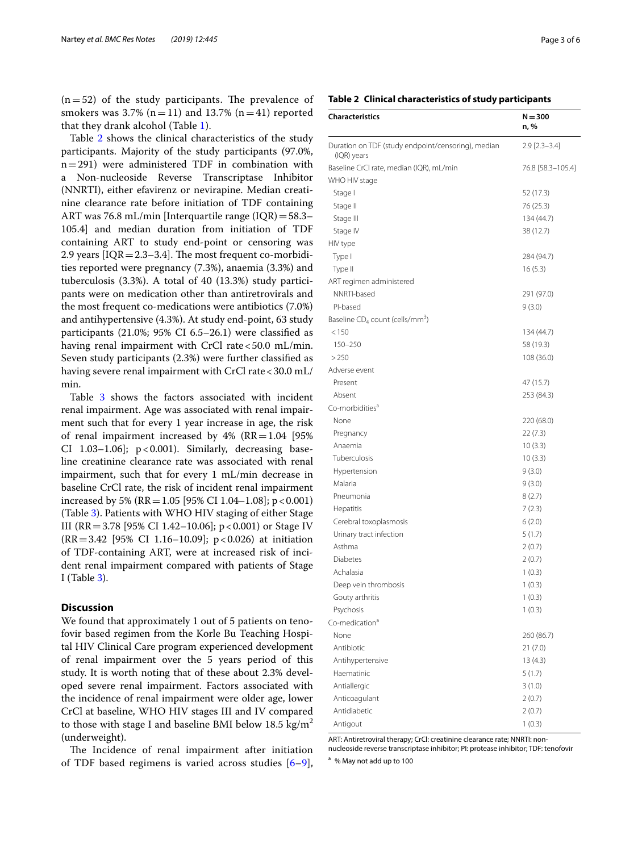$(n=52)$  of the study participants. The prevalence of smokers was 3.7% ( $n=11$ ) and 13.7% ( $n=41$ ) reported that they drank alcohol (Table [1\)](#page-1-0).

Table [2](#page-2-0) shows the clinical characteristics of the study participants. Majority of the study participants (97.0%, n=291) were administered TDF in combination with a Non-nucleoside Reverse Transcriptase Inhibitor (NNRTI), either efavirenz or nevirapine. Median creatinine clearance rate before initiation of TDF containing ART was 76.8 mL/min [Interquartile range (IQR)=58.3– 105.4] and median duration from initiation of TDF containing ART to study end-point or censoring was 2.9 years  $[IQR = 2.3-3.4]$ . The most frequent co-morbidities reported were pregnancy (7.3%), anaemia (3.3%) and tuberculosis (3.3%). A total of 40 (13.3%) study participants were on medication other than antiretrovirals and the most frequent co-medications were antibiotics (7.0%) and antihypertensive (4.3%). At study end-point, 63 study participants (21.0%; 95% CI 6.5–26.1) were classifed as having renal impairment with CrCl rate  $<$  50.0 mL/min. Seven study participants (2.3%) were further classifed as having severe renal impairment with CrCl rate <30.0 mL/ min.

Table [3](#page-3-0) shows the factors associated with incident renal impairment. Age was associated with renal impairment such that for every 1 year increase in age, the risk of renal impairment increased by  $4\%$  (RR = 1.04 [95%] CI 1.03-1.06];  $p < 0.001$ ). Similarly, decreasing baseline creatinine clearance rate was associated with renal impairment, such that for every 1 mL/min decrease in baseline CrCl rate, the risk of incident renal impairment increased by 5% ( $RR = 1.05$  [95% CI 1.04–1.08]; p < 0.001) (Table [3](#page-3-0)). Patients with WHO HIV staging of either Stage III (RR = 3.78 [95% CI 1.42–10.06]; p < 0.001) or Stage IV (RR=3.42 [95% CI 1.16–10.09]; p<0.026) at initiation of TDF-containing ART, were at increased risk of incident renal impairment compared with patients of Stage I (Table [3](#page-3-0)).

## **Discussion**

We found that approximately 1 out of 5 patients on tenofovir based regimen from the Korle Bu Teaching Hospital HIV Clinical Care program experienced development of renal impairment over the 5 years period of this study. It is worth noting that of these about 2.3% developed severe renal impairment. Factors associated with the incidence of renal impairment were older age, lower CrCl at baseline, WHO HIV stages III and IV compared to those with stage I and baseline BMI below 18.5 kg/m<sup>2</sup> (underweight).

The Incidence of renal impairment after initiation of TDF based regimens is varied across studies [[6–](#page-5-5)[9](#page-5-6)],

#### <span id="page-2-0"></span>**Table 2 Clinical characteristics of study participants**

| <b>Characteristics</b>                                            | $N = 300$<br>n, %     |
|-------------------------------------------------------------------|-----------------------|
| Duration on TDF (study endpoint/censoring), median<br>(IQR) years | $2.9$ [ $2.3 - 3.4$ ] |
| Baseline CrCl rate, median (IQR), mL/min                          | 76.8 [58.3-105.4]     |
| WHO HIV stage                                                     |                       |
| Stage I                                                           | 52 (17.3)             |
| Stage II                                                          | 76 (25.3)             |
| Stage III                                                         | 134 (44.7)            |
| Stage IV                                                          | 38 (12.7)             |
| HIV type                                                          |                       |
| Type I                                                            | 284 (94.7)            |
| Type II                                                           | 16(5.3)               |
| ART regimen administered                                          |                       |
| NNRTI-based                                                       | 291 (97.0)            |
| PI-based                                                          | 9(3.0)                |
| Baseline $CD_4$ count (cells/mm <sup>3</sup> )                    |                       |
| < 150                                                             | 134 (44.7)            |
| 150-250                                                           | 58 (19.3)             |
| >250                                                              | 108 (36.0)            |
| Adverse event                                                     |                       |
| Present                                                           | 47 (15.7)             |
| Absent                                                            | 253 (84.3)            |
| Co-morbidities <sup>a</sup>                                       |                       |
| None                                                              | 220 (68.0)            |
| Pregnancy                                                         | 22 (7.3)              |
| Anaemia                                                           | 10(3.3)               |
| Tuberculosis                                                      | 10(3.3)               |
| Hypertension                                                      | 9(3.0)                |
| Malaria                                                           | 9(3.0)                |
| Pneumonia                                                         | 8(2.7)                |
| Hepatitis                                                         | 7(2.3)                |
| Cerebral toxoplasmosis                                            | 6(2.0)                |
| Urinary tract infection                                           | 5(1.7)                |
| Asthma                                                            | 2(0.7)                |
| Diabetes                                                          | 2(0.7)                |
| Achalasia                                                         | 1(0.3)                |
| Deep vein thrombosis                                              | 1(0.3)                |
| Gouty arthritis                                                   | 1(0.3)                |
| Psychosis                                                         | 1(0.3)                |
| Co-medication <sup>a</sup>                                        |                       |
| None                                                              | 260 (86.7)            |
| Antibiotic                                                        | 21(7.0)               |
| Antihypertensive                                                  | 13(4.3)               |
| Haematinic                                                        | 5(1.7)                |
| Antiallergic                                                      | 3(1.0)                |
| Anticoagulant<br>Antidiabetic                                     | 2(0.7)                |
|                                                                   | 2(0.7)                |
| Antigout                                                          | 1(0.3)                |

ART: Antiretroviral therapy; CrCl: creatinine clearance rate; NNRTI: non-

nucleoside reverse transcriptase inhibitor; PI: protease inhibitor; TDF: tenofovir

<sup>a</sup> % May not add up to 100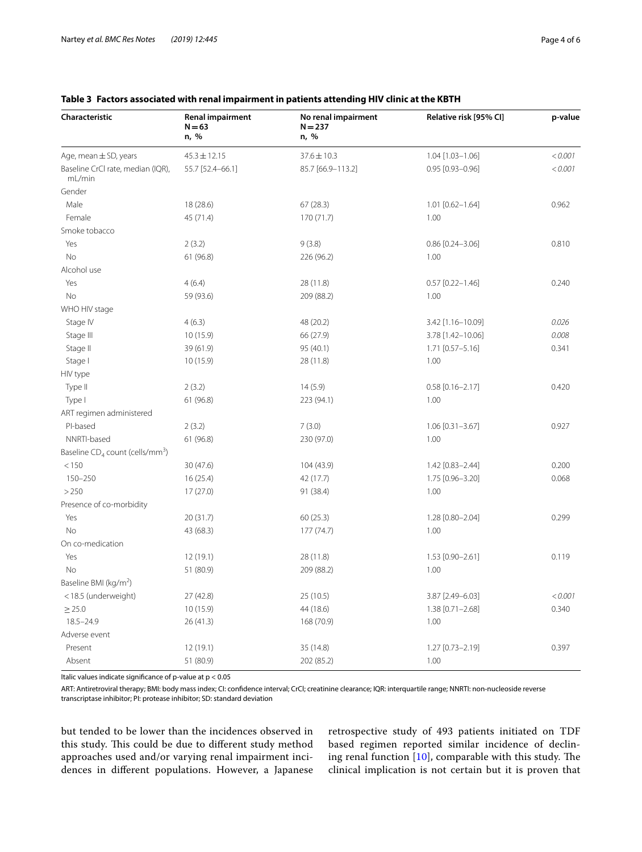| Characteristic                                 | <b>Renal impairment</b><br>$N = 63$<br>n, % | No renal impairment<br>$N = 237$<br>n, % | Relative risk [95% CI] | p-value |
|------------------------------------------------|---------------------------------------------|------------------------------------------|------------------------|---------|
| Age, mean $\pm$ SD, years                      | $45.3 \pm 12.15$                            | $37.6 \pm 10.3$                          | 1.04 [1.03-1.06]       | < 0.001 |
| Baseline CrCl rate, median (IQR),<br>mL/min    | 55.7 [52.4-66.1]                            | 85.7 [66.9-113.2]                        | 0.95 [0.93-0.96]       | < 0.001 |
| Gender                                         |                                             |                                          |                        |         |
| Male                                           | 18 (28.6)                                   | 67(28.3)                                 | 1.01 [0.62-1.64]       | 0.962   |
| Female                                         | 45 (71.4)                                   | 170(71.7)                                | 1.00                   |         |
| Smoke tobacco                                  |                                             |                                          |                        |         |
| Yes                                            | 2(3.2)                                      | 9(3.8)                                   | $0.86$ [0.24-3.06]     | 0.810   |
| No                                             | 61 (96.8)                                   | 226 (96.2)                               | 1.00                   |         |
| Alcohol use                                    |                                             |                                          |                        |         |
| Yes                                            | 4(6.4)                                      | 28 (11.8)                                | $0.57$ [0.22-1.46]     | 0.240   |
| No                                             | 59 (93.6)                                   | 209 (88.2)                               | 1.00                   |         |
| WHO HIV stage                                  |                                             |                                          |                        |         |
| Stage IV                                       | 4(6.3)                                      | 48 (20.2)                                | 3.42 [1.16-10.09]      | 0.026   |
| Stage III                                      | 10 (15.9)                                   | 66 (27.9)                                | 3.78 [1.42-10.06]      | 0.008   |
| Stage II                                       | 39 (61.9)                                   | 95 (40.1)                                | 1.71 [0.57-5.16]       | 0.341   |
| Stage I                                        | 10 (15.9)                                   | 28 (11.8)                                | 1.00                   |         |
| HIV type                                       |                                             |                                          |                        |         |
| Type II                                        | 2(3.2)                                      | 14(5.9)                                  | $0.58$ [0.16-2.17]     | 0.420   |
| Type I                                         | 61 (96.8)                                   | 223 (94.1)                               | 1.00                   |         |
| ART regimen administered                       |                                             |                                          |                        |         |
| PI-based                                       | 2(3.2)                                      | 7(3.0)                                   | $1.06$ [0.31-3.67]     | 0.927   |
| NNRTI-based                                    | 61 (96.8)                                   | 230 (97.0)                               | 1.00                   |         |
| Baseline $CD_4$ count (cells/mm <sup>3</sup> ) |                                             |                                          |                        |         |
| < 150                                          | 30(47.6)                                    | 104 (43.9)                               | 1.42 [0.83-2.44]       | 0.200   |
| 150-250                                        | 16(25.4)                                    | 42 (17.7)                                | 1.75 [0.96-3.20]       | 0.068   |
| >250                                           | 17(27.0)                                    | 91 (38.4)                                | 1.00                   |         |
| Presence of co-morbidity                       |                                             |                                          |                        |         |
| Yes                                            | 20 (31.7)                                   | 60 (25.3)                                | 1.28 [0.80-2.04]       | 0.299   |
| No                                             | 43 (68.3)                                   | 177(74.7)                                | 1.00                   |         |
| On co-medication                               |                                             |                                          |                        |         |
| Yes                                            | 12(19.1)                                    | 28 (11.8)                                | 1.53 [0.90-2.61]       | 0.119   |
| No                                             | 51 (80.9)                                   | 209 (88.2)                               | 1.00                   |         |
| Baseline BMI (kg/m <sup>2</sup> )              |                                             |                                          |                        |         |
| <18.5 (underweight)                            | 27(42.8)                                    | 25(10.5)                                 | 3.87 [2.49-6.03]       | < 0.001 |
| $\geq$ 25.0                                    | 10 (15.9)                                   | 44 (18.6)                                | 1.38 [0.71-2.68]       | 0.340   |
| $18.5 - 24.9$                                  | 26 (41.3)                                   | 168 (70.9)                               | 1.00                   |         |
| Adverse event                                  |                                             |                                          |                        |         |
| Present                                        | 12 (19.1)                                   | 35 (14.8)                                | 1.27 [0.73-2.19]       | 0.397   |
| Absent                                         | 51 (80.9)                                   | 202 (85.2)                               | 1.00                   |         |

## <span id="page-3-0"></span>**Table 3 Factors associated with renal impairment in patients attending HIV clinic at the KBTH**

Italic values indicate signifcance of p-value at p < 0.05

ART: Antiretroviral therapy; BMI: body mass index; CI: confdence interval; CrCl; creatinine clearance; IQR: interquartile range; NNRTI: non-nucleoside reverse transcriptase inhibitor; PI: protease inhibitor; SD: standard deviation

but tended to be lower than the incidences observed in this study. This could be due to different study method approaches used and/or varying renal impairment incidences in diferent populations. However, a Japanese

retrospective study of 493 patients initiated on TDF based regimen reported similar incidence of declining renal function  $[10]$  $[10]$ , comparable with this study. The clinical implication is not certain but it is proven that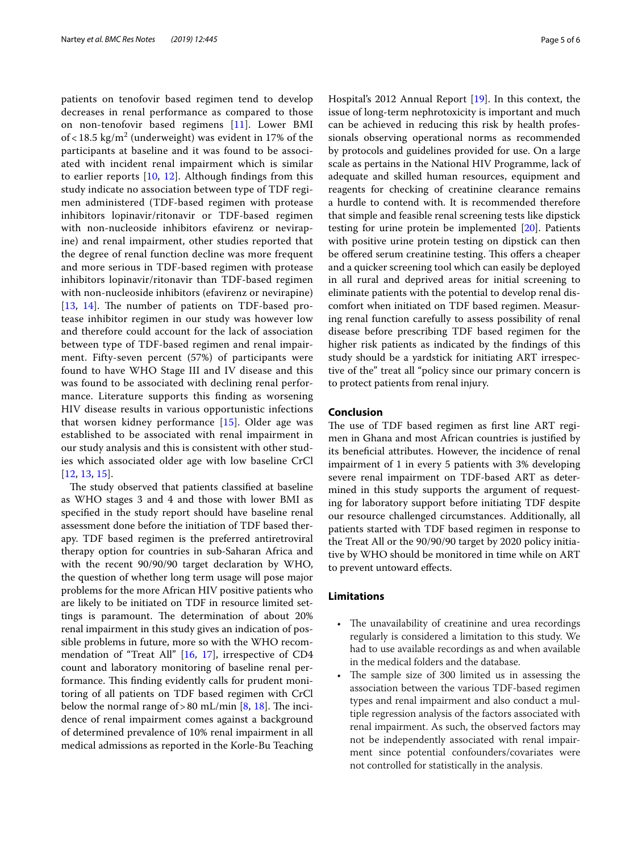patients on tenofovir based regimen tend to develop decreases in renal performance as compared to those on non-tenofovir based regimens [\[11](#page-5-8)]. Lower BMI of < 18.5 kg/m<sup>2</sup> (underweight) was evident in 17% of the participants at baseline and it was found to be associated with incident renal impairment which is similar to earlier reports  $[10, 12]$  $[10, 12]$  $[10, 12]$  $[10, 12]$ . Although findings from this study indicate no association between type of TDF regimen administered (TDF-based regimen with protease inhibitors lopinavir/ritonavir or TDF-based regimen with non-nucleoside inhibitors efavirenz or nevirapine) and renal impairment, other studies reported that the degree of renal function decline was more frequent and more serious in TDF-based regimen with protease inhibitors lopinavir/ritonavir than TDF-based regimen with non-nucleoside inhibitors (efavirenz or nevirapine)  $[13, 14]$  $[13, 14]$  $[13, 14]$  $[13, 14]$ . The number of patients on TDF-based protease inhibitor regimen in our study was however low and therefore could account for the lack of association between type of TDF-based regimen and renal impairment. Fifty-seven percent (57%) of participants were found to have WHO Stage III and IV disease and this was found to be associated with declining renal performance. Literature supports this fnding as worsening HIV disease results in various opportunistic infections that worsen kidney performance [\[15](#page-5-12)]. Older age was established to be associated with renal impairment in our study analysis and this is consistent with other studies which associated older age with low baseline CrCl [[12](#page-5-9), [13,](#page-5-10) [15\]](#page-5-12).

The study observed that patients classified at baseline as WHO stages 3 and 4 and those with lower BMI as specifed in the study report should have baseline renal assessment done before the initiation of TDF based therapy. TDF based regimen is the preferred antiretroviral therapy option for countries in sub-Saharan Africa and with the recent 90/90/90 target declaration by WHO, the question of whether long term usage will pose major problems for the more African HIV positive patients who are likely to be initiated on TDF in resource limited settings is paramount. The determination of about 20% renal impairment in this study gives an indication of possible problems in future, more so with the WHO recommendation of "Treat All" [[16,](#page-5-13) [17](#page-5-14)], irrespective of CD4 count and laboratory monitoring of baseline renal performance. This finding evidently calls for prudent monitoring of all patients on TDF based regimen with CrCl below the normal range of  $>80$  mL/min [[8,](#page-5-15) [18](#page-5-16)]. The incidence of renal impairment comes against a background of determined prevalence of 10% renal impairment in all medical admissions as reported in the Korle-Bu Teaching Hospital's 2012 Annual Report [[19\]](#page-5-17). In this context, the issue of long-term nephrotoxicity is important and much can be achieved in reducing this risk by health professionals observing operational norms as recommended by protocols and guidelines provided for use. On a large scale as pertains in the National HIV Programme, lack of adequate and skilled human resources, equipment and reagents for checking of creatinine clearance remains a hurdle to contend with. It is recommended therefore that simple and feasible renal screening tests like dipstick testing for urine protein be implemented [[20](#page-5-18)]. Patients with positive urine protein testing on dipstick can then be offered serum creatinine testing. This offers a cheaper and a quicker screening tool which can easily be deployed in all rural and deprived areas for initial screening to eliminate patients with the potential to develop renal discomfort when initiated on TDF based regimen. Measuring renal function carefully to assess possibility of renal disease before prescribing TDF based regimen for the higher risk patients as indicated by the fndings of this study should be a yardstick for initiating ART irrespective of the" treat all "policy since our primary concern is to protect patients from renal injury.

## **Conclusion**

The use of TDF based regimen as first line ART regimen in Ghana and most African countries is justifed by its benefcial attributes. However, the incidence of renal impairment of 1 in every 5 patients with 3% developing severe renal impairment on TDF-based ART as determined in this study supports the argument of requesting for laboratory support before initiating TDF despite our resource challenged circumstances. Additionally, all patients started with TDF based regimen in response to the Treat All or the 90/90/90 target by 2020 policy initiative by WHO should be monitored in time while on ART to prevent untoward efects.

## **Limitations**

- The unavailability of creatinine and urea recordings regularly is considered a limitation to this study. We had to use available recordings as and when available in the medical folders and the database.
- The sample size of 300 limited us in assessing the association between the various TDF-based regimen types and renal impairment and also conduct a multiple regression analysis of the factors associated with renal impairment. As such, the observed factors may not be independently associated with renal impairment since potential confounders/covariates were not controlled for statistically in the analysis.